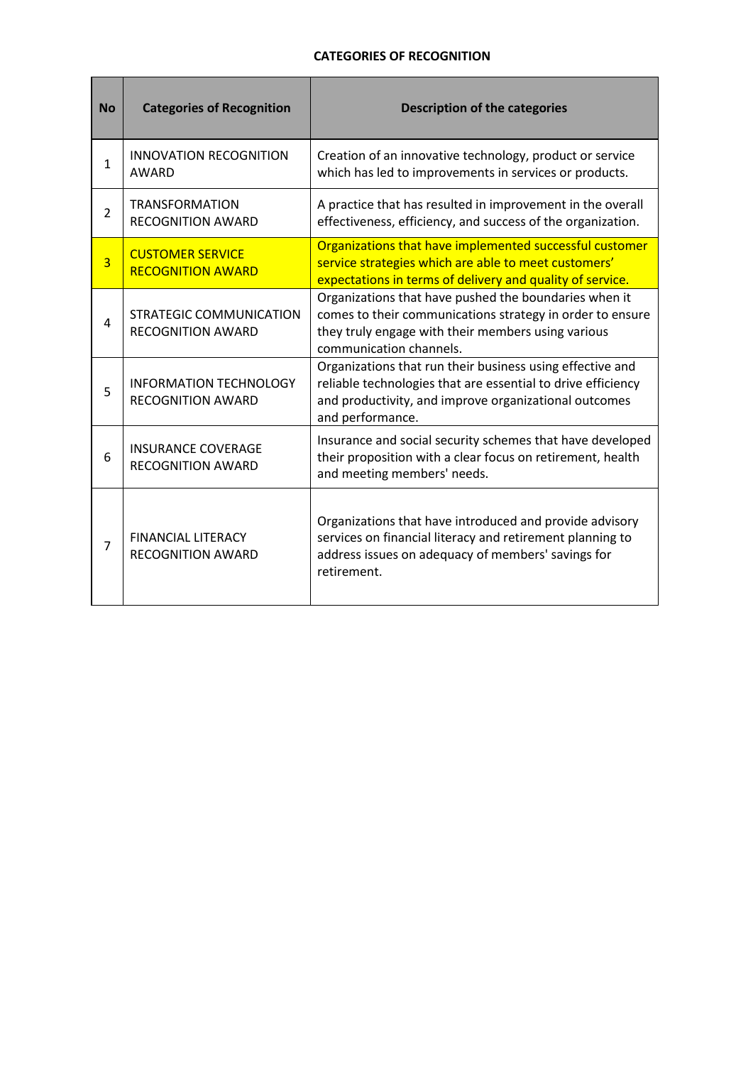## **CATEGORIES OF RECOGNITION**

<u> Tanzania de la pro</u>

| <b>No</b>      | <b>Categories of Recognition</b>                           | <b>Description of the categories</b>                                                                                                                                                                   |
|----------------|------------------------------------------------------------|--------------------------------------------------------------------------------------------------------------------------------------------------------------------------------------------------------|
| 1              | <b>INNOVATION RECOGNITION</b><br><b>AWARD</b>              | Creation of an innovative technology, product or service<br>which has led to improvements in services or products.                                                                                     |
| 2              | <b>TRANSFORMATION</b><br><b>RECOGNITION AWARD</b>          | A practice that has resulted in improvement in the overall<br>effectiveness, efficiency, and success of the organization.                                                                              |
| $\overline{3}$ | <b>CUSTOMER SERVICE</b><br><b>RECOGNITION AWARD</b>        | Organizations that have implemented successful customer<br>service strategies which are able to meet customers'<br>expectations in terms of delivery and quality of service.                           |
| 4              | <b>STRATEGIC COMMUNICATION</b><br><b>RECOGNITION AWARD</b> | Organizations that have pushed the boundaries when it<br>comes to their communications strategy in order to ensure<br>they truly engage with their members using various<br>communication channels.    |
| 5              | <b>INFORMATION TECHNOLOGY</b><br><b>RECOGNITION AWARD</b>  | Organizations that run their business using effective and<br>reliable technologies that are essential to drive efficiency<br>and productivity, and improve organizational outcomes<br>and performance. |
| 6              | <b>INSURANCE COVERAGE</b><br><b>RECOGNITION AWARD</b>      | Insurance and social security schemes that have developed<br>their proposition with a clear focus on retirement, health<br>and meeting members' needs.                                                 |
| $\overline{7}$ | <b>FINANCIAL LITERACY</b><br><b>RECOGNITION AWARD</b>      | Organizations that have introduced and provide advisory<br>services on financial literacy and retirement planning to<br>address issues on adequacy of members' savings for<br>retirement.              |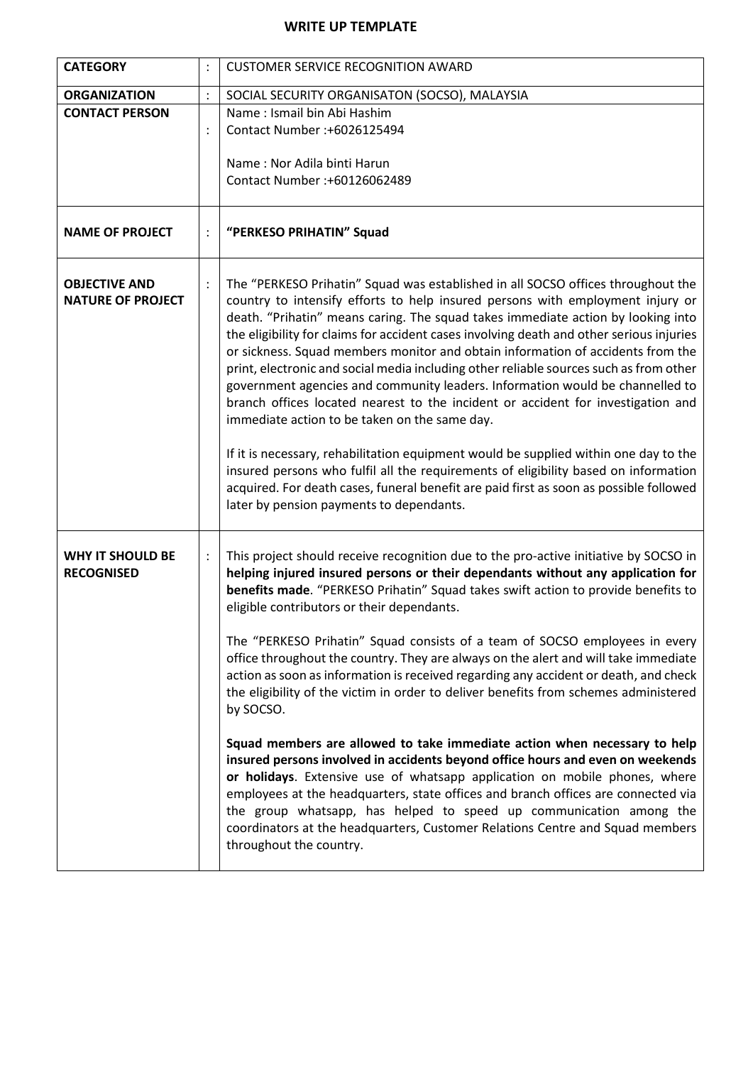## **WRITE UP TEMPLATE**

| <b>CATEGORY</b>                                  |                | <b>CUSTOMER SERVICE RECOGNITION AWARD</b>                                                                                                                                                                                                                                                                                                                                                                                                                                                                                                                                                                                                                                                                                                                                                                                                     |
|--------------------------------------------------|----------------|-----------------------------------------------------------------------------------------------------------------------------------------------------------------------------------------------------------------------------------------------------------------------------------------------------------------------------------------------------------------------------------------------------------------------------------------------------------------------------------------------------------------------------------------------------------------------------------------------------------------------------------------------------------------------------------------------------------------------------------------------------------------------------------------------------------------------------------------------|
| <b>ORGANIZATION</b>                              | $\vdots$       | SOCIAL SECURITY ORGANISATON (SOCSO), MALAYSIA                                                                                                                                                                                                                                                                                                                                                                                                                                                                                                                                                                                                                                                                                                                                                                                                 |
| <b>CONTACT PERSON</b>                            |                | Name: Ismail bin Abi Hashim                                                                                                                                                                                                                                                                                                                                                                                                                                                                                                                                                                                                                                                                                                                                                                                                                   |
|                                                  |                | Contact Number :+6026125494                                                                                                                                                                                                                                                                                                                                                                                                                                                                                                                                                                                                                                                                                                                                                                                                                   |
|                                                  |                |                                                                                                                                                                                                                                                                                                                                                                                                                                                                                                                                                                                                                                                                                                                                                                                                                                               |
|                                                  |                | Name: Nor Adila binti Harun                                                                                                                                                                                                                                                                                                                                                                                                                                                                                                                                                                                                                                                                                                                                                                                                                   |
|                                                  |                | Contact Number: +60126062489                                                                                                                                                                                                                                                                                                                                                                                                                                                                                                                                                                                                                                                                                                                                                                                                                  |
|                                                  |                |                                                                                                                                                                                                                                                                                                                                                                                                                                                                                                                                                                                                                                                                                                                                                                                                                                               |
| <b>NAME OF PROJECT</b>                           |                | "PERKESO PRIHATIN" Squad                                                                                                                                                                                                                                                                                                                                                                                                                                                                                                                                                                                                                                                                                                                                                                                                                      |
| <b>OBJECTIVE AND</b><br><b>NATURE OF PROJECT</b> |                | The "PERKESO Prihatin" Squad was established in all SOCSO offices throughout the<br>country to intensify efforts to help insured persons with employment injury or<br>death. "Prihatin" means caring. The squad takes immediate action by looking into<br>the eligibility for claims for accident cases involving death and other serious injuries<br>or sickness. Squad members monitor and obtain information of accidents from the<br>print, electronic and social media including other reliable sources such as from other<br>government agencies and community leaders. Information would be channelled to<br>branch offices located nearest to the incident or accident for investigation and<br>immediate action to be taken on the same day.<br>If it is necessary, rehabilitation equipment would be supplied within one day to the |
|                                                  |                | insured persons who fulfil all the requirements of eligibility based on information<br>acquired. For death cases, funeral benefit are paid first as soon as possible followed<br>later by pension payments to dependants.                                                                                                                                                                                                                                                                                                                                                                                                                                                                                                                                                                                                                     |
| <b>WHY IT SHOULD BE</b><br><b>RECOGNISED</b>     | $\ddot{\cdot}$ | This project should receive recognition due to the pro-active initiative by SOCSO in<br>helping injured insured persons or their dependants without any application for<br>benefits made. "PERKESO Prihatin" Squad takes swift action to provide benefits to<br>eligible contributors or their dependants.                                                                                                                                                                                                                                                                                                                                                                                                                                                                                                                                    |
|                                                  |                | The "PERKESO Prihatin" Squad consists of a team of SOCSO employees in every<br>office throughout the country. They are always on the alert and will take immediate<br>action as soon as information is received regarding any accident or death, and check<br>the eligibility of the victim in order to deliver benefits from schemes administered<br>by SOCSO.                                                                                                                                                                                                                                                                                                                                                                                                                                                                               |
|                                                  |                | Squad members are allowed to take immediate action when necessary to help<br>insured persons involved in accidents beyond office hours and even on weekends<br>or holidays. Extensive use of whatsapp application on mobile phones, where<br>employees at the headquarters, state offices and branch offices are connected via<br>the group whatsapp, has helped to speed up communication among the<br>coordinators at the headquarters, Customer Relations Centre and Squad members<br>throughout the country.                                                                                                                                                                                                                                                                                                                              |